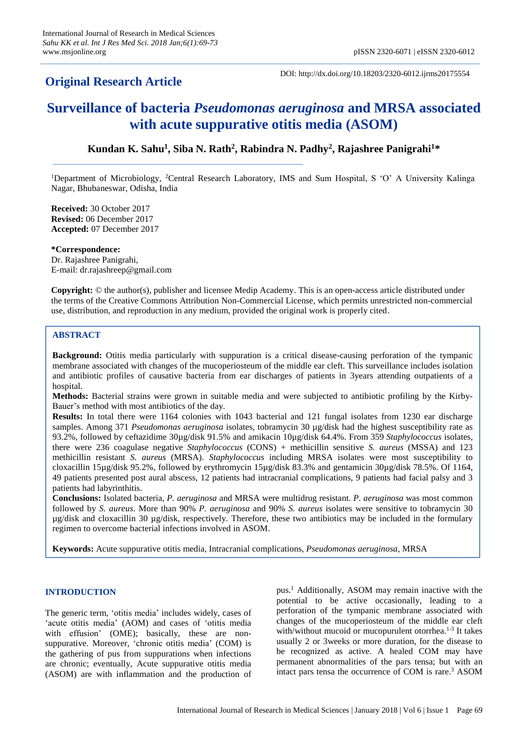## **Original Research Article**

DOI: http://dx.doi.org/10.18203/2320-6012.ijrms20175554

# **Surveillance of bacteria** *Pseudomonas aeruginosa* **and MRSA associated with acute suppurative otitis media (ASOM)**

### **Kundan K. Sahu<sup>1</sup> , Siba N. Rath<sup>2</sup> , Rabindra N. Padhy<sup>2</sup> , Rajashree Panigrahi<sup>1</sup>\***

<sup>1</sup>Department of Microbiology, <sup>2</sup>Central Research Laboratory, IMS and Sum Hospital, S 'O' A University Kalinga Nagar, Bhubaneswar, Odisha, India

**Received:** 30 October 2017 **Revised:** 06 December 2017 **Accepted:** 07 December 2017

**\*Correspondence:** Dr. Rajashree Panigrahi, E-mail: dr.rajashreep@gmail.com

**Copyright:** © the author(s), publisher and licensee Medip Academy. This is an open-access article distributed under the terms of the Creative Commons Attribution Non-Commercial License, which permits unrestricted non-commercial use, distribution, and reproduction in any medium, provided the original work is properly cited.

#### **ABSTRACT**

**Background:** Otitis media particularly with suppuration is a critical disease-causing perforation of the tympanic membrane associated with changes of the mucoperiosteum of the middle ear cleft. This surveillance includes isolation and antibiotic profiles of causative bacteria from ear discharges of patients in 3years attending outpatients of a hospital.

**Methods:** Bacterial strains were grown in suitable media and were subjected to antibiotic profiling by the Kirby-Bauer's method with most antibiotics of the day.

**Results:** In total there were 1164 colonies with 1043 bacterial and 121 fungal isolates from 1230 ear discharge samples. Among 371 *Pseudomonas aeruginosa* isolates, tobramycin 30 µg/disk had the highest susceptibility rate as 93.2%, followed by ceftazidime 30µg/disk 91.5% and amikacin 10µg/disk 64.4%. From 359 *Staphylococcus* isolates, there were 236 coagulase negative *Staphylococcus* (CONS) + methicillin sensitive *S. aureus* (MSSA) and 123 methicillin resistant *S. aureus* (MRSA). *Staphylococcus* including MRSA isolates were most susceptibility to cloxacillin 15µg/disk 95.2%, followed by erythromycin 15µg/disk 83.3% and gentamicin 30µg/disk 78.5%. Of 1164, 49 patients presented post aural abscess, 12 patients had intracranial complications, 9 patients had facial palsy and 3 patients had labyrinthitis.

**Conclusions:** Isolated bacteria, *P. aeruginosa* and MRSA were multidrug resistant. *P. aeruginosa* was most common followed by *S. aureus*. More than 90% *P. aeruginosa* and 90% *S. aureus* isolates were sensitive to tobramycin 30 µg/disk and cloxacillin 30 µg/disk, respectively. Therefore, these two antibiotics may be included in the formulary regimen to overcome bacterial infections involved in ASOM.

**Keywords:** Acute suppurative otitis media, Intracranial complications, *Pseudomonas aeruginosa*, MRSA

#### **INTRODUCTION**

The generic term, 'otitis media' includes widely, cases of 'acute otitis media' (AOM) and cases of 'otitis media with effusion' (OME); basically, these are nonsuppurative. Moreover, 'chronic otitis media' (COM) is the gathering of pus from suppurations when infections are chronic; eventually, Acute suppurative otitis media (ASOM) are with inflammation and the production of pus.<sup>1</sup> Additionally, ASOM may remain inactive with the potential to be active occasionally, leading to a perforation of the tympanic membrane associated with changes of the mucoperiosteum of the middle ear cleft with/without mucoid or mucopurulent otorrhea.<sup>1-3</sup> It takes usually 2 or 3weeks or more duration, for the disease to be recognized as active. A healed COM may have permanent abnormalities of the pars tensa; but with an intact pars tensa the occurrence of COM is rare.<sup>3</sup> ASOM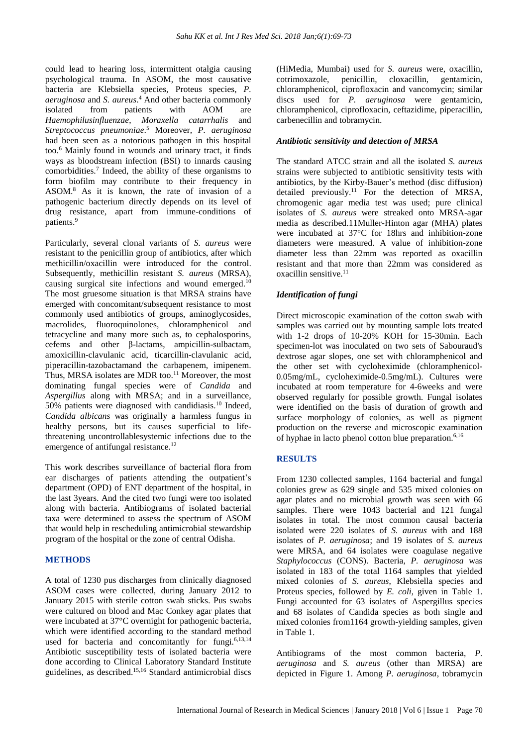could lead to hearing loss, intermittent otalgia causing psychological trauma. In ASOM, the most causative bacteria are Klebsiella species, Proteus species, *P. aeruginosa* and *S. aureus*. <sup>4</sup> And other bacteria commonly isolated from patients with AOM are *Haemophilusinfluenzae*, *Moraxella catarrhalis* and *Streptococcus pneumoniae*. <sup>5</sup> Moreover, *P. aeruginosa* had been seen as a notorious pathogen in this hospital too.<sup>6</sup> Mainly found in wounds and urinary tract, it finds ways as bloodstream infection (BSI) to innards causing comorbidities.<sup>7</sup> Indeed, the ability of these organisms to form biofilm may contribute to their frequency in ASOM.<sup>8</sup> As it is known, the rate of invasion of a pathogenic bacterium directly depends on its level of drug resistance, apart from immune-conditions of patients.<sup>9</sup>

Particularly, several clonal variants of *S. aureus* were resistant to the penicillin group of antibiotics, after which methicillin/oxacillin were introduced for the control. Subsequently, methicillin resistant *S. aureus* (MRSA), causing surgical site infections and wound emerged.<sup>10</sup> The most gruesome situation is that MRSA strains have emerged with concomitant/subsequent resistance to most commonly used antibiotics of groups, aminoglycosides, macrolides, fluoroquinolones, chloramphenicol and tetracycline and many more such as, to cephalosporins, cefems and other β-lactams, ampicillin-sulbactam, amoxicillin-clavulanic acid, ticarcillin-clavulanic acid, piperacillin-tazobactamand the carbapenem, imipenem. Thus, MRSA isolates are MDR too.<sup>11</sup> Moreover, the most dominating fungal species were of *Candida* and *Aspergillus* along with MRSA; and in a surveillance, 50% patients were diagnosed with candidiasis.<sup>10</sup> Indeed, *Candida albicans* was originally a harmless fungus in healthy persons, but its causes superficial to lifethreatening uncontrollablesystemic infections due to the emergence of antifungal resistance.<sup>12</sup>

This work describes surveillance of bacterial flora from ear discharges of patients attending the outpatient's department (OPD) of ENT department of the hospital, in the last 3years. And the cited two fungi were too isolated along with bacteria. Antibiograms of isolated bacterial taxa were determined to assess the spectrum of ASOM that would help in rescheduling antimicrobial stewardship program of the hospital or the zone of central Odisha.

#### **METHODS**

A total of 1230 pus discharges from clinically diagnosed ASOM cases were collected, during January 2012 to January 2015 with sterile cotton swab sticks. Pus swabs were cultured on blood and Mac Conkey agar plates that were incubated at 37°C overnight for pathogenic bacteria, which were identified according to the standard method used for bacteria and concomitantly for fungi.<sup>6,13,14</sup> Antibiotic susceptibility tests of isolated bacteria were done according to Clinical Laboratory Standard Institute guidelines, as described.15,16 Standard antimicrobial discs (HiMedia, Mumbai) used for *S. aureus* were, oxacillin, cotrimoxazole, penicillin, cloxacillin, gentamicin, chloramphenicol, ciprofloxacin and vancomycin; similar discs used for *P. aeruginosa* were gentamicin, chloramphenicol, ciprofloxacin, ceftazidime, piperacillin, carbenecillin and tobramycin.

#### *Antibiotic sensitivity and detection of MRSA*

The standard ATCC strain and all the isolated *S. aureus* strains were subjected to antibiotic sensitivity tests with antibiotics, by the Kirby-Bauer's method (disc diffusion) detailed previously.<sup>11</sup> For the detection of MRSA, chromogenic agar media test was used; pure clinical isolates of *S. aureus* were streaked onto MRSA-agar media as described.11Muller-Hinton agar (MHA) plates were incubated at 37°C for 18hrs and inhibition-zone diameters were measured. A value of inhibition-zone diameter less than 22mm was reported as oxacillin resistant and that more than 22mm was considered as oxacillin sensitive.<sup>11</sup>

#### *Identification of fungi*

Direct microscopic examination of the cotton swab with samples was carried out by mounting sample lots treated with 1-2 drops of 10-20% KOH for 15-30min. Each specimen-lot was inoculated on two sets of Sabouraud's dextrose agar slopes, one set with chloramphenicol and the other set with cycloheximide (chloramphenicol-0.05mg/mL, cycloheximide-0.5mg/mL). Cultures were incubated at room temperature for 4-6weeks and were observed regularly for possible growth. Fungal isolates were identified on the basis of duration of growth and surface morphology of colonies, as well as pigment production on the reverse and microscopic examination of hyphae in lacto phenol cotton blue preparation.<sup>6,16</sup>

#### **RESULTS**

From 1230 collected samples, 1164 bacterial and fungal colonies grew as 629 single and 535 mixed colonies on agar plates and no microbial growth was seen with 66 samples. There were 1043 bacterial and 121 fungal isolates in total. The most common causal bacteria isolated were 220 isolates of *S. aureus* with and 188 isolates of *P. aeruginosa*; and 19 isolates of *S. aureus* were MRSA, and 64 isolates were coagulase negative *Staphylococcus* (CONS). Bacteria, *P. aeruginosa* was isolated in 183 of the total 1164 samples that yielded mixed colonies of *S. aureus*, Klebsiella species and Proteus species, followed by *E. coli*, given in Table 1. Fungi accounted for 63 isolates of Aspergillus species and 68 isolates of Candida species as both single and mixed colonies from1164 growth-yielding samples, given in Table 1.

Antibiograms of the most common bacteria, *P. aeruginosa* and *S. aureus* (other than MRSA) are depicted in Figure 1. Among *P. aeruginosa*, tobramycin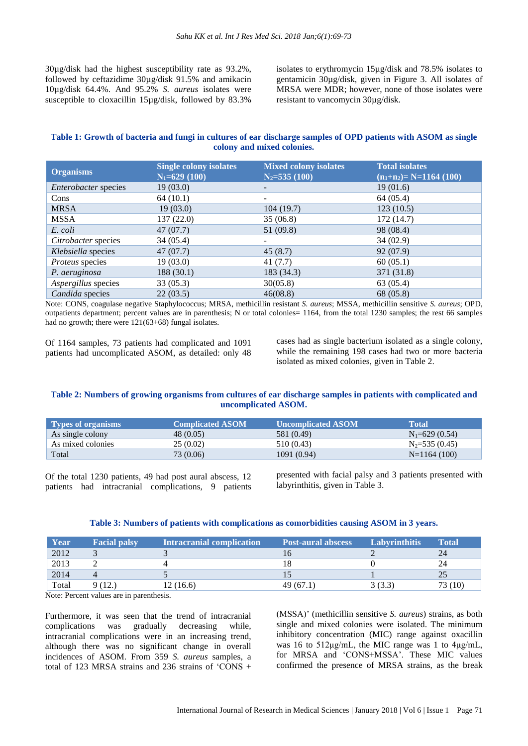30µg/disk had the highest susceptibility rate as 93.2%, followed by ceftazidime 30µg/disk 91.5% and amikacin 10µg/disk 64.4%. And 95.2% *S. aureus* isolates were susceptible to cloxacillin 15µg/disk, followed by 83.3%

isolates to erythromycin 15µg/disk and 78.5% isolates to gentamicin 30µg/disk, given in Figure 3. All isolates of MRSA were MDR; however, none of those isolates were resistant to vancomycin 30µg/disk.

#### Table 1: Growth of bacteria and fungi in cultures of ear discharge samples of OPD patients with ASOM as single **colony and mixed colonies.**

| <b>Organisms</b>     | <b>Single colony isolates</b><br>$N_1 = 629(100)$ | <b>Mixed colony isolates</b><br>$N_2 = 535(100)$ | <b>Total isolates</b><br>$(n_1+n_2)=N=1164(100)$ |
|----------------------|---------------------------------------------------|--------------------------------------------------|--------------------------------------------------|
| Enterobacter species | 19(03.0)                                          |                                                  | 19(01.6)                                         |
| Cons                 | 64(10.1)                                          | -                                                | 64 (05.4)                                        |
| <b>MRSA</b>          | 19(03.0)                                          | 104(19.7)                                        | 123(10.5)                                        |
| MSSA                 | 137(22.0)                                         | 35(06.8)                                         | 172 (14.7)                                       |
| E. coli              | 47(07.7)                                          | 51 (09.8)                                        | 98 (08.4)                                        |
| Citrobacter species  | 34(05.4)                                          |                                                  | 34(02.9)                                         |
| Klebsiella species   | 47(07.7)                                          | 45(8.7)                                          | 92 (07.9)                                        |
| Proteus species      | 19(03.0)                                          | 41(7.7)                                          | 60(05.1)                                         |
| P. aeruginosa        | 188(30.1)                                         | 183 (34.3)                                       | 371 (31.8)                                       |
| Aspergillus species  | 33(05.3)                                          | 30(05.8)                                         | 63 (05.4)                                        |
| Candida species      | 22(03.5)                                          | 46(08.8)                                         | 68 (05.8)                                        |

Note: CONS, coagulase negative Staphylococcus; MRSA, methicillin resistant *S. aureus*; MSSA, methicillin sensitive *S. aureus*; OPD, outpatients department; percent values are in parenthesis; N or total colonies= 1164, from the total 1230 samples; the rest 66 samples had no growth; there were  $121(63+68)$  fungal isolates.

Of 1164 samples, 73 patients had complicated and 1091 patients had uncomplicated ASOM, as detailed: only 48 cases had as single bacterium isolated as a single colony, while the remaining 198 cases had two or more bacteria isolated as mixed colonies, given in Table 2.

#### Table 2: Numbers of growing organisms from cultures of ear discharge samples in patients with complicated and **uncomplicated ASOM.**

| Types of organisms | <b>Complicated ASOM</b> | Uncomplicated ASOM | Total             |
|--------------------|-------------------------|--------------------|-------------------|
| As single colony   | 48 (0.05)               | 581 (0.49)         | $N_1 = 629(0.54)$ |
| As mixed colonies  | 25(0.02)                | 510 (0.43)         | $N_2 = 535(0.45)$ |
| Total              | 73(0.06)                | 1091 (0.94)        | $N=1164(100)$     |

Of the total 1230 patients, 49 had post aural abscess, 12 patients had intracranial complications, 9 patients presented with facial palsy and 3 patients presented with labyrinthitis, given in Table 3.

#### **Table 3: Numbers of patients with complications as comorbidities causing ASOM in 3 years.**

| Year  | <b>Facial palsy</b> | <b>Intracranial complication</b> | <b>Post-aural abscess</b> | <b>Labyrinthitis</b> | <b>Total</b> |
|-------|---------------------|----------------------------------|---------------------------|----------------------|--------------|
| 2012  |                     |                                  |                           |                      | 24           |
| 2013  |                     |                                  |                           |                      | 24           |
| 2014  |                     |                                  |                           |                      |              |
| Total | 9 (12.)             | 12(16.6)                         | 49(67.1)                  | 3 (3.3               | 73 (10)      |

Note: Percent values are in parenthesis.

Furthermore, it was seen that the trend of intracranial complications was gradually decreasing while, intracranial complications were in an increasing trend, although there was no significant change in overall incidences of ASOM. From 359 *S. aureus* samples, a total of 123 MRSA strains and 236 strains of  $\widehat{CONS}$  +

(MSSA)' (methicillin sensitive *S. aureus*) strains, as both single and mixed colonies were isolated. The minimum inhibitory concentration (MIC) range against oxacillin was 16 to 512μg/mL, the MIC range was 1 to 4μg/mL, for MRSA and 'CONS+MSSA'. These MIC values confirmed the presence of MRSA strains, as the break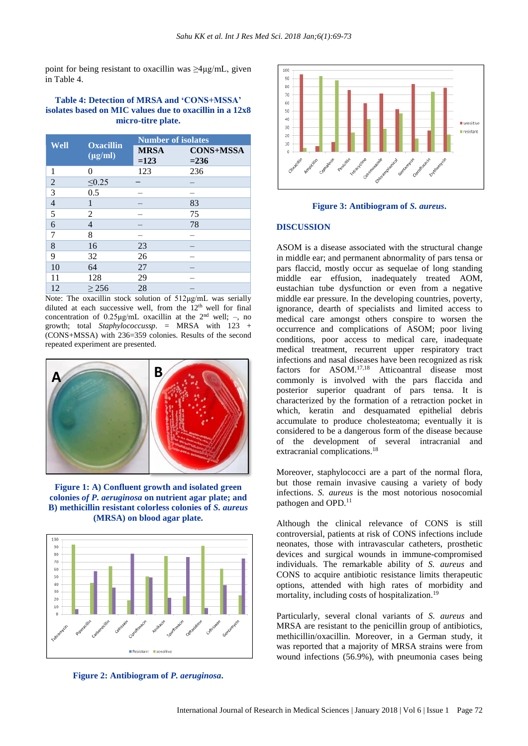point for being resistant to oxacillin was  $\geq 4\mu g/mL$ , given in Table 4.

#### **Table 4: Detection of MRSA and 'CONS+MSSA' isolates based on MIC values due to oxacillin in a 12x8 micro-titre plate.**

| Well           | <b>Oxacillin</b><br>$(\mu g/ml)$ | <b>Number of isolates</b> |                             |  |
|----------------|----------------------------------|---------------------------|-----------------------------|--|
|                |                                  | <b>MRSA</b><br>$=123$     | <b>CONS+MSSA</b><br>$= 236$ |  |
| 1              | 0                                | 123                       | 236                         |  |
| $\overline{2}$ | $\leq 0.25$                      |                           |                             |  |
| 3              | 0.5                              |                           |                             |  |
| $\overline{4}$ |                                  |                           | 83                          |  |
| 5              | 2                                |                           | 75                          |  |
| 6              | 4                                |                           | 78                          |  |
| 7              | 8                                |                           |                             |  |
| 8              | 16                               | 23                        |                             |  |
| 9              | 32                               | 26                        |                             |  |
| 10             | 64                               | 27                        |                             |  |
| 11             | 128                              | 29                        |                             |  |
| 12             | > 256                            | 28                        |                             |  |

Note: The oxacillin stock solution of 512μg/mL was serially diluted at each successive well, from the  $12<sup>th</sup>$  well for final concentration of  $0.25 \mu g/mL$  oxacillin at the  $2<sup>nd</sup>$  well; -, no growth; total *Staphylococcussp*. = MRSA with 123 + (CONS+MSSA) with 236=359 colonies. Results of the second repeated experiment are presented.



**Figure 1: A) Confluent growth and isolated green colonies** *of P. aeruginosa* **on nutrient agar plate; and B) methicillin resistant colorless colonies of** *S. aureus* **(MRSA) on blood agar plate.**



**Figure 2: Antibiogram of** *P. aeruginosa***.**





#### **DISCUSSION**

ASOM is a disease associated with the structural change in middle ear; and permanent abnormality of pars tensa or pars flaccid, mostly occur as sequelae of long standing middle ear effusion, inadequately treated AOM, eustachian tube dysfunction or even from a negative middle ear pressure. In the developing countries, poverty, ignorance, dearth of specialists and limited access to medical care amongst others conspire to worsen the occurrence and complications of ASOM; poor living conditions, poor access to medical care, inadequate medical treatment, recurrent upper respiratory tract infections and nasal diseases have been recognized as risk factors for ASOM.17,18 Atticoantral disease most commonly is involved with the pars flaccida and posterior superior quadrant of pars tensa. It is characterized by the formation of a retraction pocket in which, keratin and desquamated epithelial debris accumulate to produce cholesteatoma; eventually it is considered to be a dangerous form of the disease because of the development of several intracranial and extracranial complications.<sup>18</sup>

Moreover, staphylococci are a part of the normal flora, but those remain invasive causing a variety of body infections. *S. aureus* is the most notorious nosocomial pathogen and OPD.<sup>11</sup>

Although the clinical relevance of CONS is still controversial, patients at risk of CONS infections include neonates, those with intravascular catheters, prosthetic devices and surgical wounds in immune-compromised individuals. The remarkable ability of *S. aureus* and CONS to acquire antibiotic resistance limits therapeutic options, attended with high rates of morbidity and mortality, including costs of hospitalization.<sup>19</sup>

Particularly, several clonal variants of *S. aureus* and MRSA are resistant to the penicillin group of antibiotics, methicillin/oxacillin. Moreover, in a German study, it was reported that a majority of MRSA strains were from wound infections (56.9%), with pneumonia cases being